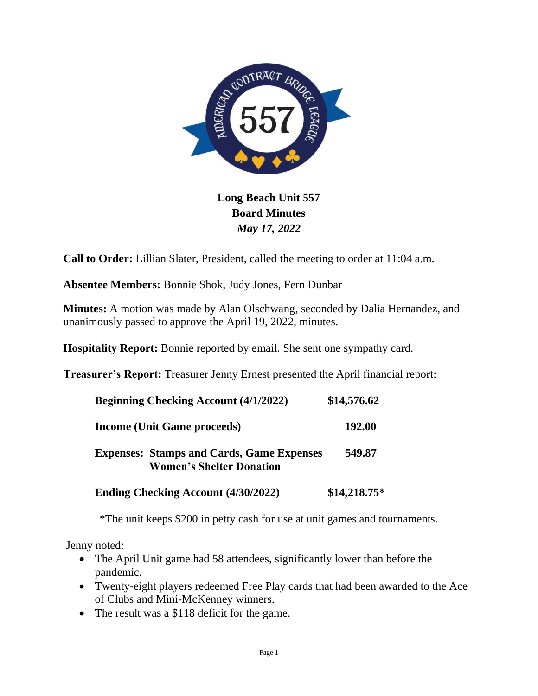

## **Long Beach Unit 557 Board Minutes** *May 17, 2022*

**Call to Order:** Lillian Slater, President, called the meeting to order at 11:04 a.m.

**Absentee Members:** Bonnie Shok, Judy Jones, Fern Dunbar

**Minutes:** A motion was made by Alan Olschwang, seconded by Dalia Hernandez, and unanimously passed to approve the April 19, 2022, minutes.

**Hospitality Report:** Bonnie reported by email. She sent one sympathy card.

**Treasurer's Report:** Treasurer Jenny Ernest presented the April financial report:

| <b>Beginning Checking Account (4/1/2022)</b>                                        | \$14,576.62   |
|-------------------------------------------------------------------------------------|---------------|
| <b>Income (Unit Game proceeds)</b>                                                  | 192.00        |
| <b>Expenses: Stamps and Cards, Game Expenses</b><br><b>Women's Shelter Donation</b> | 549.87        |
| <b>Ending Checking Account (4/30/2022)</b>                                          | $$14,218.75*$ |

\*The unit keeps \$200 in petty cash for use at unit games and tournaments.

Jenny noted:

- The April Unit game had 58 attendees, significantly lower than before the pandemic.
- Twenty-eight players redeemed Free Play cards that had been awarded to the Ace of Clubs and Mini-McKenney winners.
- The result was a \$118 deficit for the game.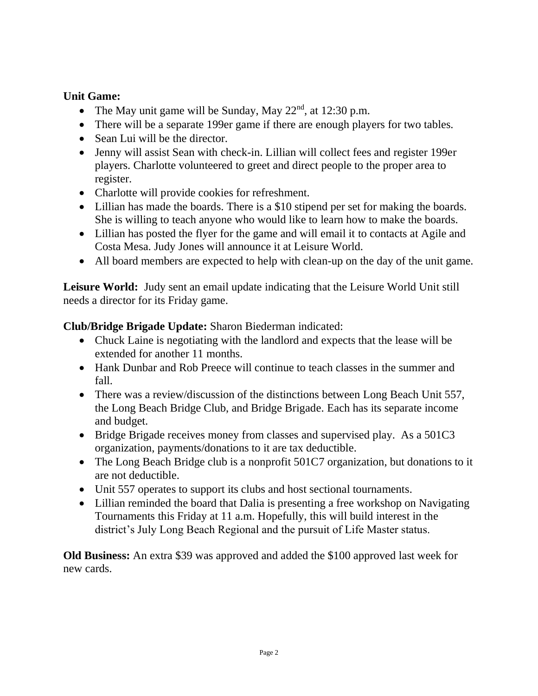## **Unit Game:**

- The May unit game will be Sunday, May  $22<sup>nd</sup>$ , at 12:30 p.m.
- There will be a separate 199er game if there are enough players for two tables.
- Sean Lui will be the director.
- Jenny will assist Sean with check-in. Lillian will collect fees and register 199er players. Charlotte volunteered to greet and direct people to the proper area to register.
- Charlotte will provide cookies for refreshment.
- Lillian has made the boards. There is a \$10 stipend per set for making the boards. She is willing to teach anyone who would like to learn how to make the boards.
- Lillian has posted the flyer for the game and will email it to contacts at Agile and Costa Mesa. Judy Jones will announce it at Leisure World.
- All board members are expected to help with clean-up on the day of the unit game.

**Leisure World:** Judy sent an email update indicating that the Leisure World Unit still needs a director for its Friday game.

## **Club/Bridge Brigade Update:** Sharon Biederman indicated:

- Chuck Laine is negotiating with the landlord and expects that the lease will be extended for another 11 months.
- Hank Dunbar and Rob Preece will continue to teach classes in the summer and fall.
- There was a review/discussion of the distinctions between Long Beach Unit 557, the Long Beach Bridge Club, and Bridge Brigade. Each has its separate income and budget.
- Bridge Brigade receives money from classes and supervised play. As a 501C3 organization, payments/donations to it are tax deductible.
- The Long Beach Bridge club is a nonprofit 501C7 organization, but donations to it are not deductible.
- Unit 557 operates to support its clubs and host sectional tournaments.
- Lillian reminded the board that Dalia is presenting a free workshop on Navigating Tournaments this Friday at 11 a.m. Hopefully, this will build interest in the district's July Long Beach Regional and the pursuit of Life Master status.

**Old Business:** An extra \$39 was approved and added the \$100 approved last week for new cards.